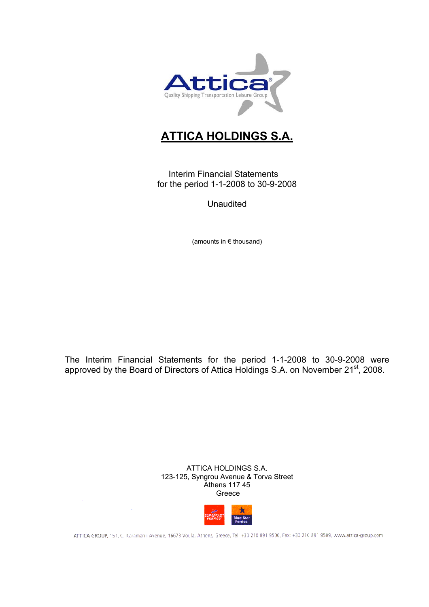

# **ATTICA HOLDINGS S.A.**

Interim Financial Statements for the period 1-1-2008 to 30-9-2008

Unaudited

(amounts in € thousand)

The Interim Financial Statements for the period 1-1-2008 to 30-9-2008 were approved by the Board of Directors of Attica Holdings S.A. on November 21st, 2008.

> ATTICA HOLDINGS S.A. 123-125, Syngrou Avenue & Torva Street Athens 117 45 Greece



ATTICA GROUP, 157, C. Karamanlı Avenue, 16673 Voula, Athens, Greece, Tel: +30 210 891 9500, Fax: +30 210 891 9509, www.attica-group.com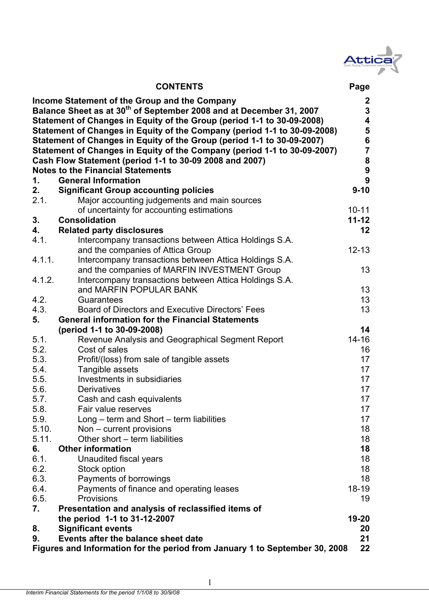

|        | <b>CONTENTS</b>                                                                                                                                                                                                                                                                                                                                                                                                                                                                                         | Page                                                                                               |
|--------|---------------------------------------------------------------------------------------------------------------------------------------------------------------------------------------------------------------------------------------------------------------------------------------------------------------------------------------------------------------------------------------------------------------------------------------------------------------------------------------------------------|----------------------------------------------------------------------------------------------------|
|        | Income Statement of the Group and the Company<br>Balance Sheet as at 30 <sup>th</sup> of September 2008 and at December 31, 2007<br>Statement of Changes in Equity of the Group (period 1-1 to 30-09-2008)<br>Statement of Changes in Equity of the Company (period 1-1 to 30-09-2008)<br>Statement of Changes in Equity of the Group (period 1-1 to 30-09-2007)<br>Statement of Changes in Equity of the Company (period 1-1 to 30-09-2007)<br>Cash Flow Statement (period 1-1 to 30-09 2008 and 2007) | $\mathbf{2}$<br>$\overline{3}$<br>4<br>5<br>$6\phantom{a}$<br>$\overline{\mathbf{7}}$<br>${\bf 8}$ |
|        | <b>Notes to the Financial Statements</b>                                                                                                                                                                                                                                                                                                                                                                                                                                                                | $\boldsymbol{9}$                                                                                   |
| 1.     | <b>General Information</b>                                                                                                                                                                                                                                                                                                                                                                                                                                                                              | 9                                                                                                  |
| 2.     | <b>Significant Group accounting policies</b>                                                                                                                                                                                                                                                                                                                                                                                                                                                            | $9 - 10$                                                                                           |
| 2.1.   | Major accounting judgements and main sources                                                                                                                                                                                                                                                                                                                                                                                                                                                            |                                                                                                    |
|        | of uncertainty for accounting estimations                                                                                                                                                                                                                                                                                                                                                                                                                                                               | $10 - 11$                                                                                          |
| 3.     | <b>Consolidation</b>                                                                                                                                                                                                                                                                                                                                                                                                                                                                                    | $11 - 12$                                                                                          |
| 4.     | <b>Related party disclosures</b>                                                                                                                                                                                                                                                                                                                                                                                                                                                                        | $12 \,$                                                                                            |
| 4.1.   | Intercompany transactions between Attica Holdings S.A.                                                                                                                                                                                                                                                                                                                                                                                                                                                  |                                                                                                    |
|        | and the companies of Attica Group                                                                                                                                                                                                                                                                                                                                                                                                                                                                       | $12 - 13$                                                                                          |
| 4.1.1. | Intercompany transactions between Attica Holdings S.A.                                                                                                                                                                                                                                                                                                                                                                                                                                                  |                                                                                                    |
|        | and the companies of MARFIN INVESTMENT Group                                                                                                                                                                                                                                                                                                                                                                                                                                                            | 13                                                                                                 |
| 4.1.2. | Intercompany transactions between Attica Holdings S.A.                                                                                                                                                                                                                                                                                                                                                                                                                                                  |                                                                                                    |
|        | and MARFIN POPULAR BANK                                                                                                                                                                                                                                                                                                                                                                                                                                                                                 | 13                                                                                                 |
| 4.2.   | Guarantees                                                                                                                                                                                                                                                                                                                                                                                                                                                                                              | 13 <sup>2</sup>                                                                                    |
| 4.3.   | Board of Directors and Executive Directors' Fees                                                                                                                                                                                                                                                                                                                                                                                                                                                        | 13                                                                                                 |
| 5.     | <b>General information for the Financial Statements</b>                                                                                                                                                                                                                                                                                                                                                                                                                                                 |                                                                                                    |
|        | (period 1-1 to 30-09-2008)                                                                                                                                                                                                                                                                                                                                                                                                                                                                              | 14                                                                                                 |
| 5.1.   | Revenue Analysis and Geographical Segment Report                                                                                                                                                                                                                                                                                                                                                                                                                                                        | $14 - 16$                                                                                          |
| 5.2.   | Cost of sales                                                                                                                                                                                                                                                                                                                                                                                                                                                                                           | 16                                                                                                 |
| 5.3.   | Profit/(loss) from sale of tangible assets                                                                                                                                                                                                                                                                                                                                                                                                                                                              | 17                                                                                                 |
| 5.4.   | Tangible assets                                                                                                                                                                                                                                                                                                                                                                                                                                                                                         | 17                                                                                                 |
| 5.5.   | Investments in subsidiaries                                                                                                                                                                                                                                                                                                                                                                                                                                                                             | 17                                                                                                 |
| 5.6.   | <b>Derivatives</b>                                                                                                                                                                                                                                                                                                                                                                                                                                                                                      | 17                                                                                                 |
| 5.7.   | Cash and cash equivalents                                                                                                                                                                                                                                                                                                                                                                                                                                                                               | 17                                                                                                 |
| 5.8.   | Fair value reserves                                                                                                                                                                                                                                                                                                                                                                                                                                                                                     | 17                                                                                                 |
| 5.9.   | Long – term and Short – term liabilities                                                                                                                                                                                                                                                                                                                                                                                                                                                                | 17                                                                                                 |
| 5.10.  | Non – current provisions                                                                                                                                                                                                                                                                                                                                                                                                                                                                                | 18                                                                                                 |
| 5.11.  | Other short – term liabilities                                                                                                                                                                                                                                                                                                                                                                                                                                                                          | 18                                                                                                 |
| 6.     | <b>Other information</b>                                                                                                                                                                                                                                                                                                                                                                                                                                                                                | 18                                                                                                 |
| 6.1.   | Unaudited fiscal years                                                                                                                                                                                                                                                                                                                                                                                                                                                                                  | 18                                                                                                 |
| 6.2.   | Stock option                                                                                                                                                                                                                                                                                                                                                                                                                                                                                            | 18                                                                                                 |
| 6.3.   | Payments of borrowings                                                                                                                                                                                                                                                                                                                                                                                                                                                                                  | 18                                                                                                 |
| 6.4.   | Payments of finance and operating leases                                                                                                                                                                                                                                                                                                                                                                                                                                                                | $18 - 19$                                                                                          |
| 6.5.   | Provisions                                                                                                                                                                                                                                                                                                                                                                                                                                                                                              | 19                                                                                                 |
| 7.     | Presentation and analysis of reclassified items of                                                                                                                                                                                                                                                                                                                                                                                                                                                      |                                                                                                    |
|        | the period 1-1 to 31-12-2007                                                                                                                                                                                                                                                                                                                                                                                                                                                                            | 19-20                                                                                              |
| 8.     | <b>Significant events</b>                                                                                                                                                                                                                                                                                                                                                                                                                                                                               | 20                                                                                                 |
| 9.     | Events after the balance sheet date                                                                                                                                                                                                                                                                                                                                                                                                                                                                     | 21                                                                                                 |
|        | Figures and Information for the period from January 1 to September 30, 2008                                                                                                                                                                                                                                                                                                                                                                                                                             | 22                                                                                                 |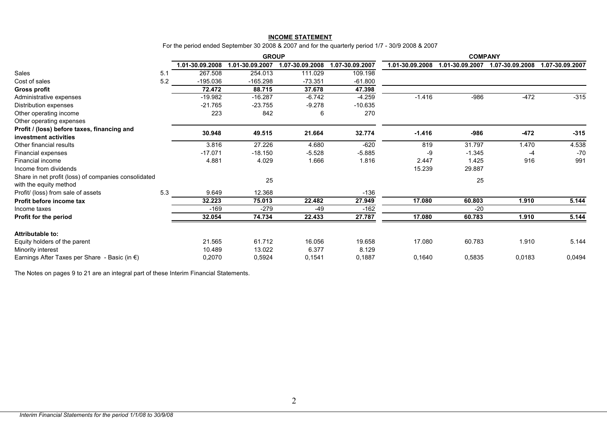#### **INCOME STATEMENT**

For the period ended September 30 2008 & 2007 and for the quarterly period 1/7 - 30/9 2008 & 2007

|                                                         |     | <b>GROUP</b>    |                 |                 |                 | <b>COMPANY</b>  |                 |                 |                 |  |
|---------------------------------------------------------|-----|-----------------|-----------------|-----------------|-----------------|-----------------|-----------------|-----------------|-----------------|--|
|                                                         |     | 1.01-30.09.2008 | 1.01-30.09.2007 | 1.07-30.09.2008 | 1.07-30.09.2007 | 1.01-30.09.2008 | 1.01-30.09.2007 | 1.07-30.09.2008 | 1.07-30.09.2007 |  |
| Sales                                                   | 5.1 | 267.508         | 254.013         | 111.029         | 109.198         |                 |                 |                 |                 |  |
| Cost of sales                                           | 5.2 | $-195.036$      | $-165.298$      | $-73.351$       | $-61.800$       |                 |                 |                 |                 |  |
| <b>Gross profit</b>                                     |     | 72.472          | 88.715          | 37.678          | 47.398          |                 |                 |                 |                 |  |
| Administrative expenses                                 |     | $-19.982$       | $-16.287$       | $-6.742$        | $-4.259$        | $-1.416$        | $-986$          | -472            | $-315$          |  |
| Distribution expenses                                   |     | $-21.765$       | $-23.755$       | $-9.278$        | $-10.635$       |                 |                 |                 |                 |  |
| Other operating income                                  |     | 223             | 842             | 6               | 270             |                 |                 |                 |                 |  |
| Other operating expenses                                |     |                 |                 |                 |                 |                 |                 |                 |                 |  |
| Profit / (loss) before taxes, financing and             |     | 30.948          | 49.515          | 21.664          | 32.774          | $-1.416$        | $-986$          | $-472$          | $-315$          |  |
| investment activities                                   |     |                 |                 |                 |                 |                 |                 |                 |                 |  |
| Other financial results                                 |     | 3.816           | 27.226          | 4.680           | $-620$          | 819             | 31.797          | 1.470           | 4.538           |  |
| Financial expenses                                      |     | $-17.071$       | $-18.150$       | $-5.528$        | $-5.885$        | -9              | $-1.345$        | -4              | $-70$           |  |
| Financial income                                        |     | 4.881           | 4.029           | 1.666           | 1.816           | 2.447           | 1.425           | 916             | 991             |  |
| Income from dividends                                   |     |                 |                 |                 |                 | 15.239          | 29.887          |                 |                 |  |
| Share in net profit (loss) of companies consolidated    |     |                 | 25              |                 |                 |                 | 25              |                 |                 |  |
| with the equity method                                  |     |                 |                 |                 |                 |                 |                 |                 |                 |  |
| Profit/ (loss) from sale of assets                      | 5.3 | 9.649           | 12.368          |                 | $-136$          |                 |                 |                 |                 |  |
| Profit before income tax                                |     | 32.223          | 75.013          | 22.482          | 27.949          | 17.080          | 60.803          | 1.910           | 5.144           |  |
| Income taxes                                            |     | $-169$          | $-279$          | $-49$           | $-162$          |                 | $-20$           |                 |                 |  |
| Profit for the period                                   |     | 32.054          | 74.734          | 22.433          | 27.787          | 17.080          | 60.783          | 1.910           | 5.144           |  |
| Attributable to:                                        |     |                 |                 |                 |                 |                 |                 |                 |                 |  |
| Equity holders of the parent                            |     | 21.565          | 61.712          | 16.056          | 19.658          | 17.080          | 60.783          | 1.910           | 5.144           |  |
| Minority interest                                       |     | 10.489          | 13.022          | 6.377           | 8.129           |                 |                 |                 |                 |  |
| Earnings After Taxes per Share - Basic (in $\epsilon$ ) |     | 0,2070          | 0,5924          | 0,1541          | 0,1887          | 0,1640          | 0,5835          | 0,0183          | 0,0494          |  |

The Notes on pages 9 to 21 are an integral part of these Interim Financial Statements.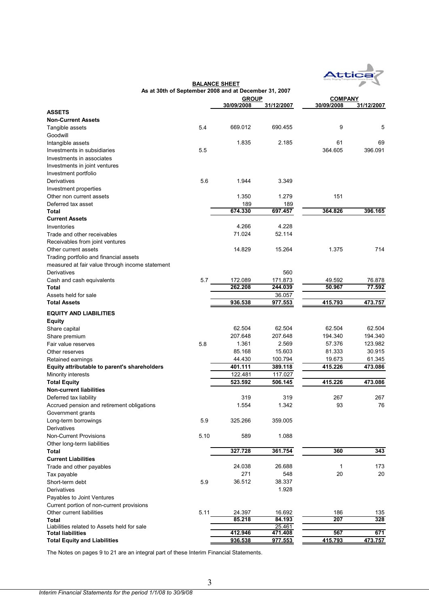

|                                                 |      | As at 30th of September 2008 and at December 31, 2007 |            |                |            |  |
|-------------------------------------------------|------|-------------------------------------------------------|------------|----------------|------------|--|
|                                                 |      | <b>GROUP</b>                                          |            | <b>COMPANY</b> |            |  |
|                                                 |      | 30/09/2008                                            | 31/12/2007 | 30/09/2008     | 31/12/2007 |  |
| <b>ASSETS</b>                                   |      |                                                       |            |                |            |  |
| <b>Non-Current Assets</b>                       |      |                                                       |            |                |            |  |
| Tangible assets                                 | 5.4  | 669.012                                               | 690.455    | 9              | 5          |  |
| Goodwill                                        |      |                                                       |            |                |            |  |
| Intangible assets                               |      | 1.835                                                 | 2.185      | 61             | 69         |  |
| Investments in subsidiaries                     | 5.5  |                                                       |            | 364.605        | 396.091    |  |
| Investments in associates                       |      |                                                       |            |                |            |  |
| Investments in joint ventures                   |      |                                                       |            |                |            |  |
| Investment portfolio                            |      |                                                       |            |                |            |  |
| Derivatives                                     | 5.6  | 1.944                                                 | 3.349      |                |            |  |
| Investment properties                           |      |                                                       |            |                |            |  |
| Other non current assets                        |      | 1.350                                                 | 1.279      | 151            |            |  |
| Deferred tax asset                              |      | 189                                                   | 189        |                |            |  |
| Total                                           |      | 674.330                                               | 697.457    | 364.826        | 396.165    |  |
| <b>Current Assets</b>                           |      |                                                       |            |                |            |  |
| Inventories                                     |      | 4.266                                                 | 4.228      |                |            |  |
| Trade and other receivables                     |      | 71.024                                                | 52.114     |                |            |  |
| Receivables from joint ventures                 |      |                                                       |            |                |            |  |
| Other current assets                            |      | 14.829                                                | 15.264     | 1.375          | 714        |  |
| Trading portfolio and financial assets          |      |                                                       |            |                |            |  |
| measured at fair value through income statement |      |                                                       |            |                |            |  |
| Derivatives                                     |      |                                                       | 560        |                |            |  |
| Cash and cash equivalents                       | 5.7  | 172.089                                               | 171.873    | 49.592         | 76.878     |  |
| Total                                           |      | 262.208                                               | 244.039    | 50.967         | 77.592     |  |
| Assets held for sale                            |      |                                                       | 36.057     |                |            |  |
| <b>Total Assets</b>                             |      | 936.538                                               | 977.553    | 415.793        | 473.757    |  |
| <b>EQUITY AND LIABILITIES</b>                   |      |                                                       |            |                |            |  |
| Equity                                          |      |                                                       |            |                |            |  |
| Share capital                                   |      | 62.504                                                | 62.504     | 62.504         | 62.504     |  |
| Share premium                                   |      | 207.648                                               | 207.648    | 194.340        | 194.340    |  |
| Fair value reserves                             | 5.8  | 1.361                                                 | 2.569      | 57.376         | 123.982    |  |
| Other reserves                                  |      | 85.168                                                | 15.603     | 81.333         | 30.915     |  |
| Retained earnings                               |      | 44.430                                                | 100.794    | 19.673         | 61.345     |  |
| Equity attributable to parent's shareholders    |      | 401.111                                               | 389.118    | 415.226        | 473.086    |  |
| Minority interests                              |      | 122.481                                               | 117.027    |                |            |  |
| <b>Total Equity</b>                             |      | 523.592                                               | 506.145    | 415.226        | 473.086    |  |
| <b>Non-current liabilities</b>                  |      |                                                       |            |                |            |  |
| Deferred tax liability                          |      | 319                                                   | 319        | 267            | 267        |  |
| Accrued pension and retirement obligations      |      | 1.554                                                 | 1.342      | 93             | 76         |  |
| Government grants                               |      |                                                       |            |                |            |  |
| Long-term borrowings                            | 5.9  | 325.266                                               | 359.005    |                |            |  |
| Derivatives                                     |      |                                                       |            |                |            |  |
| <b>Non-Current Provisions</b>                   | 5.10 | 589                                                   | 1.088      |                |            |  |
| Other long-term liabilities                     |      |                                                       |            |                |            |  |
| Total                                           |      | 327.728                                               | 361.754    | 360            | 343        |  |
| <b>Current Liabilities</b>                      |      |                                                       |            |                |            |  |
| Trade and other payables                        |      | 24.038                                                | 26.688     | 1              | 173        |  |
| Tax payable                                     |      | 271                                                   | 548        | 20             | 20         |  |
| Short-term debt                                 | 5.9  | 36.512                                                | 38.337     |                |            |  |
| Derivatives                                     |      |                                                       | 1.928      |                |            |  |
| Payables to Joint Ventures                      |      |                                                       |            |                |            |  |
| Current portion of non-current provisions       |      |                                                       |            |                |            |  |
| Other current liabilities                       | 5.11 | 24.397                                                | 16.692     | 186            | 135        |  |
| Total                                           |      | 85.218                                                | 84.193     | 207            | 328        |  |
| Liabilities related to Assets held for sale     |      |                                                       | 25.461     |                |            |  |
| Total liabilities                               |      | 412.946                                               | 471.408    | 567            | 671        |  |
| <b>Total Equity and Liabilities</b>             |      | 936.538                                               | 977.553    | 415.793        | 473.757    |  |

**BALANCE SHEET**

The Notes on pages 9 to 21 are an integral part of these Interim Financial Statements.

3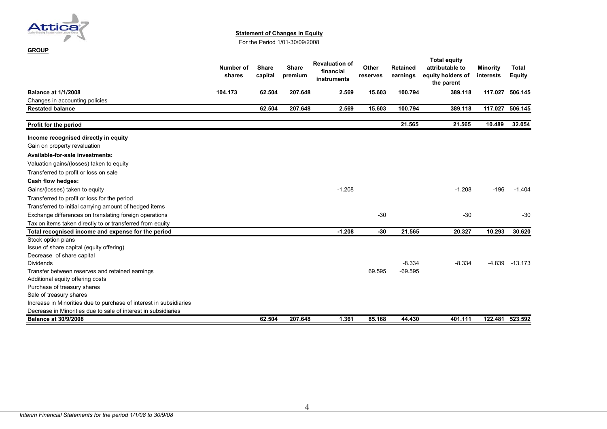

**GROUP**

#### **Statement of Changes in Equity**

For the Period 1/01-30/09/2008

|                                                                    | Number of<br>shares | <b>Share</b><br>capital | <b>Share</b><br>premium | <b>Revaluation of</b><br>financial<br>instruments | Other<br>reserves | <b>Retained</b><br>earnings | <b>Total equity</b><br>attributable to<br>equity holders of<br>the parent | <b>Minority</b><br>interests | <b>Total</b><br><b>Equity</b> |
|--------------------------------------------------------------------|---------------------|-------------------------|-------------------------|---------------------------------------------------|-------------------|-----------------------------|---------------------------------------------------------------------------|------------------------------|-------------------------------|
| <b>Balance at 1/1/2008</b>                                         | 104.173             | 62.504                  | 207.648                 | 2.569                                             | 15.603            | 100.794                     | 389.118                                                                   | 117.027                      | 506.145                       |
| Changes in accounting policies                                     |                     |                         |                         |                                                   |                   |                             |                                                                           |                              |                               |
| <b>Restated balance</b>                                            |                     | 62.504                  | 207.648                 | 2.569                                             | 15.603            | 100.794                     | 389.118                                                                   | 117.027                      | 506.145                       |
| Profit for the period                                              |                     |                         |                         |                                                   |                   | 21.565                      | 21.565                                                                    | 10.489                       | 32.054                        |
| Income recognised directly in equity                               |                     |                         |                         |                                                   |                   |                             |                                                                           |                              |                               |
| Gain on property revaluation                                       |                     |                         |                         |                                                   |                   |                             |                                                                           |                              |                               |
| Available-for-sale investments:                                    |                     |                         |                         |                                                   |                   |                             |                                                                           |                              |                               |
| Valuation gains/(losses) taken to equity                           |                     |                         |                         |                                                   |                   |                             |                                                                           |                              |                               |
| Transferred to profit or loss on sale                              |                     |                         |                         |                                                   |                   |                             |                                                                           |                              |                               |
| Cash flow hedges:                                                  |                     |                         |                         |                                                   |                   |                             |                                                                           |                              |                               |
| Gains/(losses) taken to equity                                     |                     |                         |                         | $-1.208$                                          |                   |                             | $-1.208$                                                                  | $-196$                       | $-1.404$                      |
| Transferred to profit or loss for the period                       |                     |                         |                         |                                                   |                   |                             |                                                                           |                              |                               |
| Transferred to initial carrying amount of hedged items             |                     |                         |                         |                                                   |                   |                             |                                                                           |                              |                               |
| Exchange differences on translating foreign operations             |                     |                         |                         |                                                   | $-30$             |                             | $-30$                                                                     |                              | $-30$                         |
| Tax on items taken directly to or transferred from equity          |                     |                         |                         |                                                   |                   |                             |                                                                           |                              |                               |
| Total recognised income and expense for the period                 |                     |                         |                         | $-1.208$                                          | $-30$             | 21.565                      | 20.327                                                                    | 10.293                       | 30.620                        |
| Stock option plans                                                 |                     |                         |                         |                                                   |                   |                             |                                                                           |                              |                               |
| Issue of share capital (equity offering)                           |                     |                         |                         |                                                   |                   |                             |                                                                           |                              |                               |
| Decrease of share capital                                          |                     |                         |                         |                                                   |                   |                             |                                                                           |                              |                               |
| <b>Dividends</b>                                                   |                     |                         |                         |                                                   |                   | $-8.334$                    | $-8.334$                                                                  | $-4.839$                     | $-13.173$                     |
| Transfer between reserves and retained earnings                    |                     |                         |                         |                                                   | 69.595            | $-69.595$                   |                                                                           |                              |                               |
| Additional equity offering costs                                   |                     |                         |                         |                                                   |                   |                             |                                                                           |                              |                               |
| Purchase of treasury shares                                        |                     |                         |                         |                                                   |                   |                             |                                                                           |                              |                               |
| Sale of treasury shares                                            |                     |                         |                         |                                                   |                   |                             |                                                                           |                              |                               |
| Increase in Minorities due to purchase of interest in subsidiaries |                     |                         |                         |                                                   |                   |                             |                                                                           |                              |                               |
| Decrease in Minorities due to sale of interest in subsidiaries     |                     |                         |                         |                                                   |                   |                             |                                                                           |                              |                               |
| <b>Balance at 30/9/2008</b>                                        |                     | 62.504                  | 207.648                 | 1.361                                             | 85.168            | 44.430                      | 401.111                                                                   | 122.481                      | 523.592                       |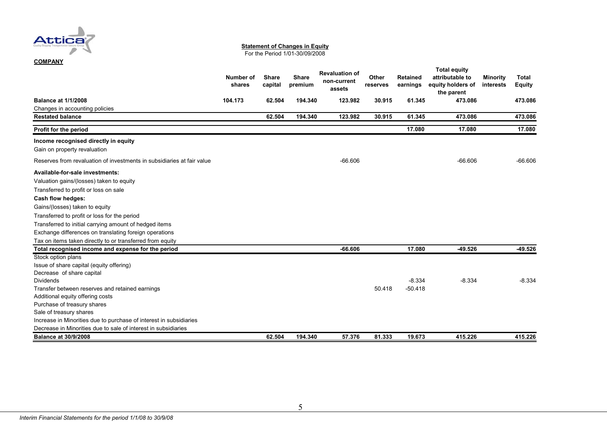

#### **Statement of Changes in Equity**

For the Period 1/01-30/09/2008

|  |  | COMPANY |  |  |
|--|--|---------|--|--|
|  |  |         |  |  |

#### **Number of sharesShare capital Share premium Revaluation of non-current assetsOther reserves Retained earnings Total equity attributable to equity holders of the parent Minority interests Total Equity Balance at 1/1/2008 104.173 62.504 194.340 123.982 30.915 61.345 473.086 473.086**Changes in accounting policies **Restated balance 62.504 194.340 123.982 30.915 61.345 473.086 473.086Profit for the period 17.080 17.080 17.080 Income recognised directly in equity** Gain on property revaluation Reserves from revaluation of investments in subsidiaries at fair value -66.606 -66.606 -66.606 -66.606 -66.606 -66.606 -66.606 -66.606 **Available-for-sale investments:**Valuation gains/(losses) taken to equity Transferred to profit or loss on sale **Cash flow hedges:** Gains/(losses) taken to equity Transferred to profit or loss for the period Transferred to initial carrying amount of hedged items Exchange differences on translating foreign operations Tax on items taken directly to or transferred from equity **Total recognised income and expense for the period -66.606 17.080 -49.526 -49.526** Stock option plans Issue of share capital (equity offering) Decrease of share capital Dividends-8.334 -8.334 -8.334 -8.334 -8.334 -8.334 -8.334 -8.334 -8.334 -8.334 -8.334 -8.334 -8.334 -8.334 -8.334 -8.334 Transfer between reserves and retained earnings 50.418 -50.418 -50.418 -50.418 -50.418 Additional equity offering costs Purchase of treasury shares Sale of treasury shares Increase in Minorities due to purchase of interest in subsidiaries Decrease in Minorities due to sale of interest in subsidiaries**Balance at 30/9/2008 62.504 194.340 57.376 81.333 19.673 415.226 415.226**415.226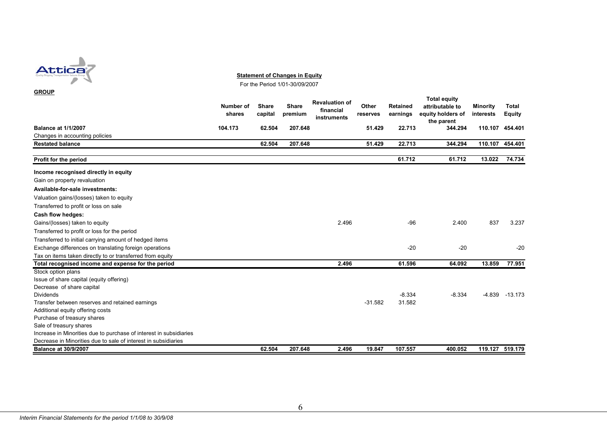

**Statement of Changes in Equity**

For the Period 1/01-30/09/2007

| <b>GROUP</b>                                                       |                     |                         |                         |                                                   |                   |                             |                                                                           |                              |                               |
|--------------------------------------------------------------------|---------------------|-------------------------|-------------------------|---------------------------------------------------|-------------------|-----------------------------|---------------------------------------------------------------------------|------------------------------|-------------------------------|
|                                                                    | Number of<br>shares | <b>Share</b><br>capital | <b>Share</b><br>premium | <b>Revaluation of</b><br>financial<br>instruments | Other<br>reserves | <b>Retained</b><br>earnings | <b>Total equity</b><br>attributable to<br>equity holders of<br>the parent | <b>Minority</b><br>interests | <b>Total</b><br><b>Equity</b> |
| <b>Balance at 1/1/2007</b>                                         | 104.173             | 62.504                  | 207.648                 |                                                   | 51.429            | 22.713                      | 344.294                                                                   | 110.107                      | 454.401                       |
| Changes in accounting policies                                     |                     |                         |                         |                                                   |                   |                             |                                                                           |                              |                               |
| <b>Restated balance</b>                                            |                     | 62.504                  | 207.648                 |                                                   | 51.429            | 22.713                      | 344.294                                                                   | 110.107                      | 454.401                       |
| Profit for the period                                              |                     |                         |                         |                                                   |                   | 61.712                      | 61.712                                                                    | 13.022                       | 74.734                        |
| Income recognised directly in equity                               |                     |                         |                         |                                                   |                   |                             |                                                                           |                              |                               |
| Gain on property revaluation                                       |                     |                         |                         |                                                   |                   |                             |                                                                           |                              |                               |
| Available-for-sale investments:                                    |                     |                         |                         |                                                   |                   |                             |                                                                           |                              |                               |
| Valuation gains/(losses) taken to equity                           |                     |                         |                         |                                                   |                   |                             |                                                                           |                              |                               |
| Transferred to profit or loss on sale                              |                     |                         |                         |                                                   |                   |                             |                                                                           |                              |                               |
| Cash flow hedges:                                                  |                     |                         |                         |                                                   |                   |                             |                                                                           |                              |                               |
| Gains/(losses) taken to equity                                     |                     |                         |                         | 2.496                                             |                   | $-96$                       | 2.400                                                                     | 837                          | 3.237                         |
| Transferred to profit or loss for the period                       |                     |                         |                         |                                                   |                   |                             |                                                                           |                              |                               |
| Transferred to initial carrying amount of hedged items             |                     |                         |                         |                                                   |                   |                             |                                                                           |                              |                               |
| Exchange differences on translating foreign operations             |                     |                         |                         |                                                   |                   | $-20$                       | $-20$                                                                     |                              | $-20$                         |
| Tax on items taken directly to or transferred from equity          |                     |                         |                         |                                                   |                   |                             |                                                                           |                              |                               |
| Total recognised income and expense for the period                 |                     |                         |                         | 2.496                                             |                   | 61.596                      | 64.092                                                                    | 13.859                       | 77.951                        |
| Stock option plans                                                 |                     |                         |                         |                                                   |                   |                             |                                                                           |                              |                               |
| Issue of share capital (equity offering)                           |                     |                         |                         |                                                   |                   |                             |                                                                           |                              |                               |
| Decrease of share capital                                          |                     |                         |                         |                                                   |                   |                             |                                                                           |                              |                               |
| <b>Dividends</b>                                                   |                     |                         |                         |                                                   |                   | $-8.334$                    | $-8.334$                                                                  | -4.839                       | $-13.173$                     |
| Transfer between reserves and retained earnings                    |                     |                         |                         |                                                   | $-31.582$         | 31.582                      |                                                                           |                              |                               |
| Additional equity offering costs                                   |                     |                         |                         |                                                   |                   |                             |                                                                           |                              |                               |
| Purchase of treasury shares                                        |                     |                         |                         |                                                   |                   |                             |                                                                           |                              |                               |
| Sale of treasury shares                                            |                     |                         |                         |                                                   |                   |                             |                                                                           |                              |                               |
| Increase in Minorities due to purchase of interest in subsidiaries |                     |                         |                         |                                                   |                   |                             |                                                                           |                              |                               |
| Decrease in Minorities due to sale of interest in subsidiaries     |                     |                         |                         |                                                   |                   |                             |                                                                           |                              |                               |
| <b>Balance at 30/9/2007</b>                                        |                     | 62.504                  | 207.648                 | 2.496                                             | 19.847            | 107.557                     | 400.052                                                                   |                              | 119.127 519.179               |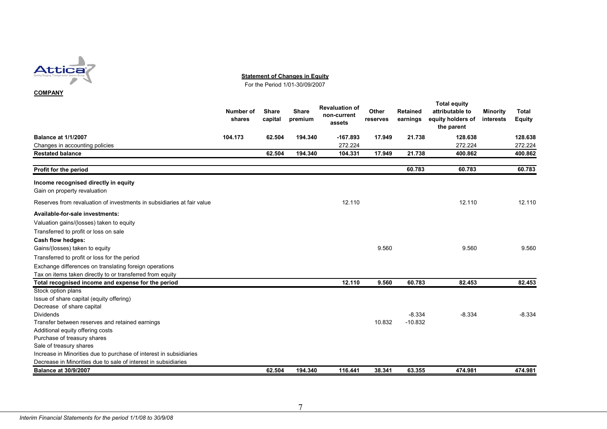

**Statement of Changes in Equity**

For the Period 1/01-30/09/2007

#### **COMPANY**

|                                                                        | <b>Number of</b><br>shares | <b>Share</b><br>capital | <b>Share</b><br>premium | <b>Revaluation of</b><br>non-current<br>assets | Other<br>reserves | <b>Retained</b><br>earnings | <b>Total equity</b><br>attributable to<br>equity holders of<br>the parent | <b>Minority</b><br>interests | <b>Total</b><br><b>Equity</b> |
|------------------------------------------------------------------------|----------------------------|-------------------------|-------------------------|------------------------------------------------|-------------------|-----------------------------|---------------------------------------------------------------------------|------------------------------|-------------------------------|
| <b>Balance at 1/1/2007</b>                                             | 104.173                    | 62.504                  | 194.340                 | $-167.893$                                     | 17.949            | 21.738                      | 128.638                                                                   |                              | 128.638                       |
| Changes in accounting policies                                         |                            |                         |                         | 272.224                                        |                   |                             | 272.224                                                                   |                              | 272.224                       |
| <b>Restated balance</b>                                                |                            | 62.504                  | 194.340                 | 104.331                                        | 17.949            | 21.738                      | 400.862                                                                   |                              | 400.862                       |
| Profit for the period                                                  |                            |                         |                         |                                                |                   | 60.783                      | 60.783                                                                    |                              | 60.783                        |
| Income recognised directly in equity                                   |                            |                         |                         |                                                |                   |                             |                                                                           |                              |                               |
| Gain on property revaluation                                           |                            |                         |                         |                                                |                   |                             |                                                                           |                              |                               |
| Reserves from revaluation of investments in subsidiaries at fair value |                            |                         |                         | 12.110                                         |                   |                             | 12.110                                                                    |                              | 12.110                        |
| Available-for-sale investments:                                        |                            |                         |                         |                                                |                   |                             |                                                                           |                              |                               |
| Valuation gains/(losses) taken to equity                               |                            |                         |                         |                                                |                   |                             |                                                                           |                              |                               |
| Transferred to profit or loss on sale                                  |                            |                         |                         |                                                |                   |                             |                                                                           |                              |                               |
| Cash flow hedges:                                                      |                            |                         |                         |                                                |                   |                             |                                                                           |                              |                               |
| Gains/(losses) taken to equity                                         |                            |                         |                         |                                                | 9.560             |                             | 9.560                                                                     |                              | 9.560                         |
| Transferred to profit or loss for the period                           |                            |                         |                         |                                                |                   |                             |                                                                           |                              |                               |
| Exchange differences on translating foreign operations                 |                            |                         |                         |                                                |                   |                             |                                                                           |                              |                               |
| Tax on items taken directly to or transferred from equity              |                            |                         |                         |                                                |                   |                             |                                                                           |                              |                               |
| Total recognised income and expense for the period                     |                            |                         |                         | 12.110                                         | 9.560             | 60.783                      | 82.453                                                                    |                              | 82.453                        |
| Stock option plans                                                     |                            |                         |                         |                                                |                   |                             |                                                                           |                              |                               |
| Issue of share capital (equity offering)                               |                            |                         |                         |                                                |                   |                             |                                                                           |                              |                               |
| Decrease of share capital                                              |                            |                         |                         |                                                |                   |                             |                                                                           |                              |                               |
| <b>Dividends</b>                                                       |                            |                         |                         |                                                |                   | $-8.334$                    | $-8.334$                                                                  |                              | $-8.334$                      |
| Transfer between reserves and retained earnings                        |                            |                         |                         |                                                | 10.832            | $-10.832$                   |                                                                           |                              |                               |
| Additional equity offering costs                                       |                            |                         |                         |                                                |                   |                             |                                                                           |                              |                               |
| Purchase of treasury shares                                            |                            |                         |                         |                                                |                   |                             |                                                                           |                              |                               |
| Sale of treasury shares                                                |                            |                         |                         |                                                |                   |                             |                                                                           |                              |                               |
| Increase in Minorities due to purchase of interest in subsidiaries     |                            |                         |                         |                                                |                   |                             |                                                                           |                              |                               |
| Decrease in Minorities due to sale of interest in subsidiaries         |                            |                         |                         |                                                |                   |                             |                                                                           |                              |                               |
| <b>Balance at 30/9/2007</b>                                            |                            | 62.504                  | 194.340                 | 116.441                                        | 38.341            | 63.355                      | 474.981                                                                   |                              | 474.981                       |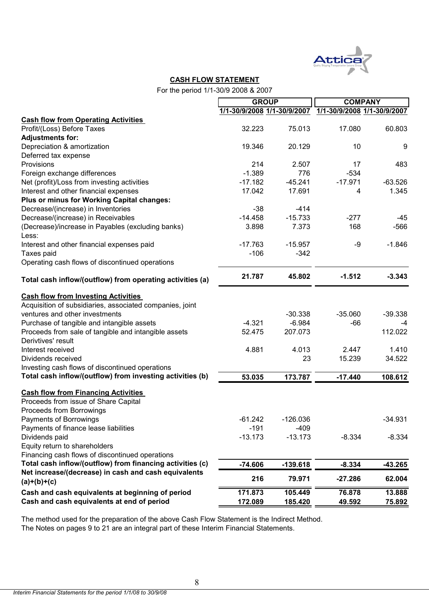

#### **CASH FLOW STATEMENT**

For the period 1/1-30/9 2008 & 2007

|                                                                            |                                                         | <b>GROUP</b> |           | <b>COMPANY</b> |  |
|----------------------------------------------------------------------------|---------------------------------------------------------|--------------|-----------|----------------|--|
|                                                                            | 1/1-30/9/2008 1/1-30/9/2007 1/1-30/9/2008 1/1-30/9/2007 |              |           |                |  |
| <b>Cash flow from Operating Activities</b>                                 |                                                         |              |           |                |  |
| Profit/(Loss) Before Taxes                                                 | 32.223                                                  | 75.013       | 17.080    | 60.803         |  |
| <b>Adjustments for:</b>                                                    |                                                         |              |           |                |  |
| Depreciation & amortization                                                | 19.346                                                  | 20.129       | 10        | 9              |  |
| Deferred tax expense                                                       |                                                         |              |           |                |  |
| Provisions                                                                 | 214                                                     | 2.507        | 17        | 483            |  |
| Foreign exchange differences                                               | $-1.389$                                                | 776          | $-534$    |                |  |
| Net (profit)/Loss from investing activities                                | $-17.182$                                               | $-45.241$    | $-17.971$ | $-63.526$      |  |
| Interest and other financial expenses                                      | 17.042                                                  | 17.691       | 4         | 1.345          |  |
| Plus or minus for Working Capital changes:                                 |                                                         |              |           |                |  |
| Decrease/(increase) in Inventories                                         | $-38$                                                   | $-414$       |           |                |  |
| Decrease/(increase) in Receivables                                         | $-14.458$                                               | $-15.733$    | $-277$    | -45            |  |
| (Decrease)/increase in Payables (excluding banks)                          | 3.898                                                   | 7.373        | 168       | $-566$         |  |
| Less:                                                                      |                                                         |              |           |                |  |
| Interest and other financial expenses paid                                 | $-17.763$                                               | $-15.957$    | -9        | $-1.846$       |  |
| Taxes paid                                                                 | $-106$                                                  | $-342$       |           |                |  |
| Operating cash flows of discontinued operations                            |                                                         |              |           |                |  |
|                                                                            |                                                         |              |           |                |  |
| Total cash inflow/(outflow) from operating activities (a)                  | 21.787                                                  | 45.802       | $-1.512$  | $-3.343$       |  |
| <b>Cash flow from Investing Activities</b>                                 |                                                         |              |           |                |  |
| Acquisition of subsidiaries, associated companies, joint                   |                                                         |              |           |                |  |
| ventures and other investments                                             |                                                         | $-30.338$    | $-35.060$ | $-39.338$      |  |
|                                                                            | $-4.321$                                                | $-6.984$     |           |                |  |
| Purchase of tangible and intangible assets                                 | 52.475                                                  | 207.073      | -66       | -4             |  |
| Proceeds from sale of tangible and intangible assets<br>Derivtives' result |                                                         |              |           | 112.022        |  |
|                                                                            | 4.881                                                   | 4.013        | 2.447     | 1.410          |  |
| Interest received                                                          |                                                         |              |           |                |  |
| Dividends received                                                         |                                                         | 23           | 15.239    | 34.522         |  |
| Investing cash flows of discontinued operations                            |                                                         |              |           |                |  |
| Total cash inflow/(outflow) from investing activities (b)                  | 53.035                                                  | 173.787      | $-17.440$ | 108.612        |  |
| <b>Cash flow from Financing Activities</b>                                 |                                                         |              |           |                |  |
| Proceeds from issue of Share Capital                                       |                                                         |              |           |                |  |
| Proceeds from Borrowings                                                   |                                                         |              |           |                |  |
| Payments of Borrowings                                                     | $-61.242$                                               | -126.036     |           | $-34.931$      |  |
| Payments of finance lease liabilities                                      | $-191$                                                  | $-409$       |           |                |  |
| Dividends paid                                                             | $-13.173$                                               | $-13.173$    | $-8.334$  | $-8.334$       |  |
| Equity return to shareholders                                              |                                                         |              |           |                |  |
| Financing cash flows of discontinued operations                            |                                                         |              |           |                |  |
| Total cash inflow/(outflow) from financing activities (c)                  | $-74.606$                                               |              | $-8.334$  | $-43.265$      |  |
| Net increase/(decrease) in cash and cash equivalents                       |                                                         | $-139.618$   |           |                |  |
| $(a)+(b)+(c)$                                                              | 216                                                     | 79.971       | $-27.286$ | 62.004         |  |
| Cash and cash equivalents at beginning of period                           | 171.873                                                 | 105.449      | 76.878    | 13.888         |  |
| Cash and cash equivalents at end of period                                 | 172.089                                                 | 185.420      | 49.592    | <u>75.892</u>  |  |
|                                                                            |                                                         |              |           |                |  |

The method used for the preparation of the above Cash Flow Statement is the Indirect Method. The Notes on pages 9 to 21 are an integral part of these Interim Financial Statements.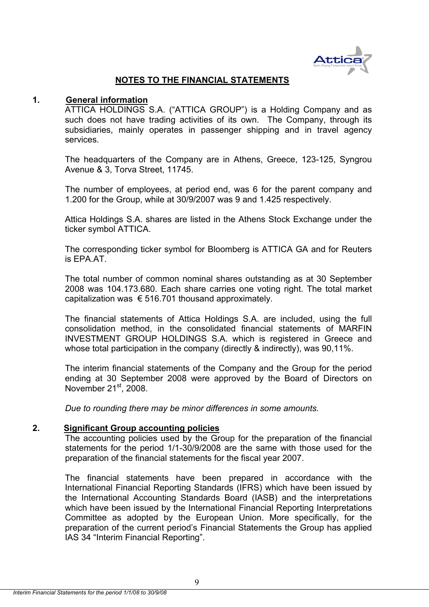

# **NOTES TO THE FINANCIAL STATEMENTS**

#### **1. General information**

ATTICA HOLDINGS S.A. ("ATTICA GROUP") is a Holding Company and as such does not have trading activities of its own. The Company, through its subsidiaries, mainly operates in passenger shipping and in travel agency services.

The headquarters of the Company are in Athens, Greece, 123-125, Syngrou Avenue & 3, Torva Street, 11745.

The number of employees, at period end, was 6 for the parent company and 1.200 for the Group, while at 30/9/2007 was 9 and 1.425 respectively.

Attica Holdings S.A. shares are listed in the Athens Stock Exchange under the ticker symbol ATTICA.

The corresponding ticker symbol for Bloomberg is ATTICA GA and for Reuters is FPA AT.

The total number of common nominal shares outstanding as at 30 September 2008 was 104.173.680. Each share carries one voting right. The total market capitalization was  $\epsilon$  516.701 thousand approximately.

The financial statements of Attica Holdings S.A. are included, using the full consolidation method, in the consolidated financial statements of MARFIN INVESTMENT GROUP HOLDINGS S.A. which is registered in Greece and whose total participation in the company (directly & indirectly), was 90,11%.

The interim financial statements of the Company and the Group for the period ending at 30 September 2008 were approved by the Board of Directors on November  $21<sup>st</sup>$ , 2008.

*Due to rounding there may be minor differences in some amounts.* 

#### **2. Significant Group accounting policies**

The accounting policies used by the Group for the preparation of the financial statements for the period 1/1-30/9/2008 are the same with those used for the preparation of the financial statements for the fiscal year 2007.

The financial statements have been prepared in accordance with the International Financial Reporting Standards (IFRS) which have been issued by the International Accounting Standards Board (IASB) and the interpretations which have been issued by the International Financial Reporting Interpretations Committee as adopted by the European Union. More specifically, for the preparation of the current period's Financial Statements the Group has applied IAS 34 "Interim Financial Reporting".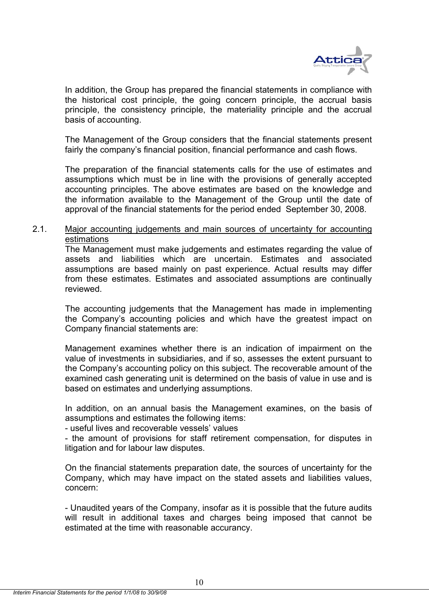

In addition, the Group has prepared the financial statements in compliance with the historical cost principle, the going concern principle, the accrual basis principle, the consistency principle, the materiality principle and the accrual basis of accounting.

The Management of the Group considers that the financial statements present fairly the company's financial position, financial performance and cash flows.

The preparation of the financial statements calls for the use of estimates and assumptions which must be in line with the provisions of generally accepted accounting principles. The above estimates are based οn the knowledge and the information available to the Management of the Group until the date of approval of the financial statements for the period ended September 30, 2008.

# 2.1. Major accounting judgements and main sources of uncertainty for accounting estimations

The Management must make judgements and estimates regarding the value of assets and liabilities which are uncertain. Estimates and associated assumptions are based mainly on past experience. Actual results may differ from these estimates. Estimates and associated assumptions are continually reviewed.

The accounting judgements that the Management has made in implementing the Company's accounting policies and which have the greatest impact on Company financial statements are:

Management examines whether there is an indication of impairment on the value of investments in subsidiaries, and if so, assesses the extent pursuant to the Company's accounting policy on this subject. The recoverable amount of the examined cash generating unit is determined on the basis of value in use and is based on estimates and underlying assumptions.

In addition, on an annual basis the Management examines, on the basis of assumptions and estimates the following items:

- useful lives and recoverable vessels' values

- the amount of provisions for staff retirement compensation, for disputes in litigation and for labour law disputes.

On the financial statements preparation date, the sources of uncertainty for the Company, which may have impact on the stated assets and liabilities values, concern:

- Unaudited years of the Company, insofar as it is possible that the future audits will result in additional taxes and charges being imposed that cannot be estimated at the time with reasonable accurancy.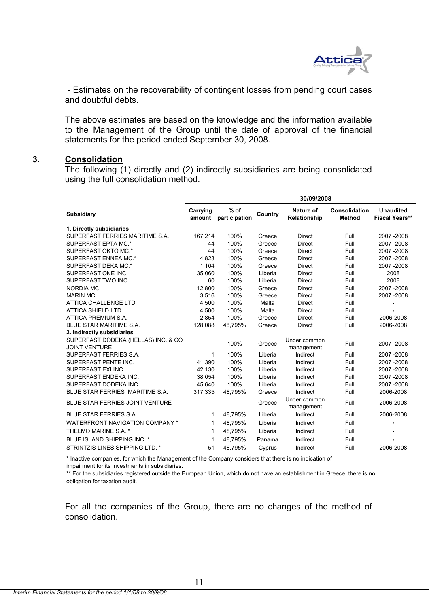

 - Estimates on the recoverability of contingent losses from pending court cases and doubtful debts.

The above estimates are based οn the knowledge and the information available to the Management of the Group until the date of approval of the financial statements for the period ended September 30, 2008.

#### **3. Consolidation**

The following (1) directly and (2) indirectly subsidiaries are being consolidated using the full consolidation method.

|                                        | 30/09/2008         |                         |         |                                  |                                |                                           |
|----------------------------------------|--------------------|-------------------------|---------|----------------------------------|--------------------------------|-------------------------------------------|
| <b>Subsidiary</b>                      | Carrying<br>amount | $%$ of<br>participation | Country | <b>Nature of</b><br>Relationship | Consolidation<br><b>Method</b> | <b>Unaudited</b><br><b>Fiscal Years**</b> |
| 1. Directly subsidiaries               |                    |                         |         |                                  |                                |                                           |
| SUPERFAST FERRIES MARITIME S.A.        | 167.214            | 100%                    | Greece  | <b>Direct</b>                    | Full                           | 2007-2008                                 |
| SUPERFAST EPTA MC.*                    | 44                 | 100%                    | Greece  | <b>Direct</b>                    | Full                           | 2007-2008                                 |
| SUPERFAST OKTO MC.*                    | 44                 | 100%                    | Greece  | <b>Direct</b>                    | Full                           | 2007 - 2008                               |
| SUPERFAST ENNEA MC.*                   | 4.823              | 100%                    | Greece  | <b>Direct</b>                    | Full                           | 2007-2008                                 |
| SUPERFAST DEKA MC.*                    | 1.104              | 100%                    | Greece  | <b>Direct</b>                    | Full                           | 2007-2008                                 |
| SUPERFAST ONE INC.                     | 35.060             | 100%                    | Liberia | <b>Direct</b>                    | Full                           | 2008                                      |
| SUPERFAST TWO INC.                     | 60                 | 100%                    | Liberia | <b>Direct</b>                    | Full                           | 2008                                      |
| NORDIA MC.                             | 12.800             | 100%                    | Greece  | <b>Direct</b>                    | Full                           | 2007-2008                                 |
| <b>MARIN MC.</b>                       | 3.516              | 100%                    | Greece  | <b>Direct</b>                    | Full                           | 2007-2008                                 |
| <b>ATTICA CHALLENGE LTD</b>            | 4.500              | 100%                    | Malta   | <b>Direct</b>                    | Full                           |                                           |
| <b>ATTICA SHIELD LTD</b>               | 4.500              | 100%                    | Malta   | <b>Direct</b>                    | Full                           |                                           |
| ATTICA PREMIUM S.A.                    | 2.854              | 100%                    | Greece  | <b>Direct</b>                    | Full                           | 2006-2008                                 |
| <b>BLUE STAR MARITIME S.A.</b>         | 128.088            | 48,795%                 | Greece  | <b>Direct</b>                    | Full                           | 2006-2008                                 |
| 2. Indirectly subsidiaries             |                    |                         |         |                                  |                                |                                           |
| SUPERFAST DODEKA (HELLAS) INC. & CO    |                    | 100%                    | Greece  | Under common                     | Full                           | 2007-2008                                 |
| <b>JOINT VENTURE</b>                   |                    |                         |         | management                       |                                |                                           |
| SUPERFAST FERRIES S.A.                 | 1                  | 100%                    | Liberia | Indirect                         | Full                           | 2007-2008                                 |
| SUPERFAST PENTE INC.                   | 41.390             | 100%                    | Liberia | Indirect                         | Full                           | 2007-2008                                 |
| SUPERFAST EXI INC.                     | 42.130             | 100%                    | Liberia | Indirect                         | Full                           | 2007-2008                                 |
| SUPERFAST ENDEKA INC.                  | 38.054             | 100%                    | Liberia | Indirect                         | Full                           | 2007-2008                                 |
| SUPERFAST DODEKA INC.                  | 45.640             | 100%                    | Liberia | Indirect                         | Full                           | 2007-2008                                 |
| BLUE STAR FERRIES MARITIME S.A.        | 317.335            | 48,795%                 | Greece  | Indirect                         | Full                           | 2006-2008                                 |
| BLUE STAR FERRIES JOINT VENTURE        |                    |                         | Greece  | Under common<br>management       | Full                           | 2006-2008                                 |
| <b>BLUE STAR FERRIES S.A.</b>          | 1                  | 48,795%                 | Liberia | Indirect                         | Full                           | 2006-2008                                 |
| <b>WATERFRONT NAVIGATION COMPANY *</b> | 1                  | 48,795%                 | Liberia | Indirect                         | Full                           | $\blacksquare$                            |
| THELMO MARINE S.A. *                   | 1                  | 48,795%                 | Liberia | Indirect                         | Full                           |                                           |
| BLUE ISLAND SHIPPING INC. *            | 1                  | 48,795%                 | Panama  | Indirect                         | Full                           |                                           |
| STRINTZIS LINES SHIPPING LTD. *        | 51                 | 48,795%                 | Cyprus  | Indirect                         | Full                           | 2006-2008                                 |

\* Inactive companies, for which the Management of the Company considers that there is no indication of impairment for its investments in subsidiaries.

\*\* For the subsidiaries registered outside the European Union, which do not have an establishment in Greece, there is no obligation for taxation audit.

For all the companies of the Group, there are no changes of the method of consolidation.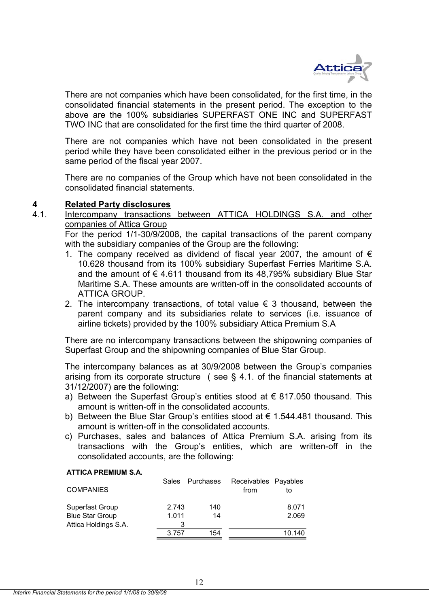

There are not companies which have been consolidated, for the first time, in the consolidated financial statements in the present period. The exception to the above are the 100% subsidiaries SUPERFAST ONE INC and SUPERFAST TWO INC that are consolidated for the first time the third quarter of 2008.

There are not companies which have not been consolidated in the present period while they have been consolidated either in the previous period or in the same period of the fiscal year 2007.

There are no companies of the Group which have not been consolidated in the consolidated financial statements.

# **4 Related Party disclosures**

4.1. Intercompany transactions between ATTICA HOLDINGS S.A. and other companies of Attica Group

For the period 1/1-30/9/2008, the capital transactions of the parent company with the subsidiary companies of the Group are the following:

- 1. The company received as dividend of fiscal year 2007, the amount of  $\epsilon$ 10.628 thousand from its 100% subsidiary Superfast Ferries Maritime S.A. and the amount of  $\epsilon$  4.611 thousand from its 48.795% subsidiary Blue Star Maritime S.A. These amounts are written-off in the consolidated accounts of ATTICA GROUP.
- 2. The intercompany transactions, of total value  $\epsilon$  3 thousand, between the parent company and its subsidiaries relate to services (i.e. issuance of airline tickets) provided by the 100% subsidiary Attica Premium S.A

There are no intercompany transactions between the shipowning companies of Superfast Group and the shipowning companies of Blue Star Group.

The intercompany balances as at 30/9/2008 between the Group's companies arising from its corporate structure ( see § 4.1. of the financial statements at 31/12/2007) are the following:

- a) Between the Superfast Group's entities stood at  $\epsilon$  817,050 thousand. This amount is written-off in the consolidated accounts.
- b) Between the Blue Star Group's entities stood at  $\epsilon$  1.544.481 thousand. This amount is written-off in the consolidated accounts.
- c) Purchases, sales and balances of Attica Premium S.A. arising from its transactions with the Group's entities, which are written-off in the consolidated accounts, are the following:

#### **ATTICA PREMIUM S.A.**

| <b>COMPANIES</b>       | <b>Sales</b> | Purchases | Receivables Payables<br>from | to     |
|------------------------|--------------|-----------|------------------------------|--------|
| Superfast Group        | 2.743        | 140       |                              | 8.071  |
| <b>Blue Star Group</b> | 1.011        | 14        |                              | 2.069  |
| Attica Holdings S.A.   | 3            |           |                              |        |
|                        | 3.757        | 154       |                              | 10.140 |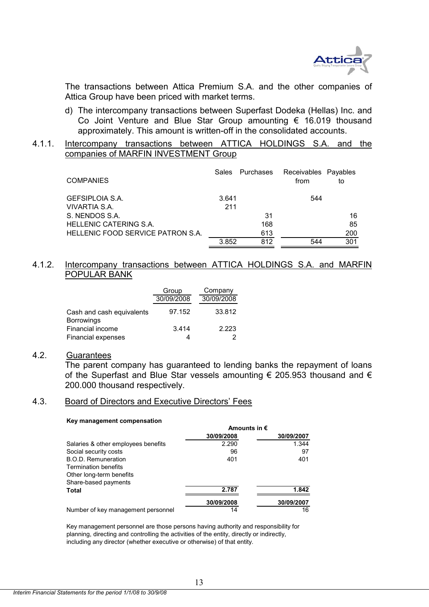

The transactions between Attica Premium S.A. and the other companies of Attica Group have been priced with market terms.

d) The intercompany transactions between Superfast Dodeka (Hellas) Inc. and Co Joint Venture and Blue Star Group amounting € 16.019 thousand approximately. This amount is written-off in the consolidated accounts.

#### 4.1.1. Intercompany transactions between ATTICA HOLDINGS S.A. and the companies of MARFIN INVESTMENT Group

| <b>COMPANIES</b>                        | Sales        | Purchases | Receivables Payables<br>from | to  |
|-----------------------------------------|--------------|-----------|------------------------------|-----|
| <b>GEFSIPLOIA S.A.</b><br>VIVARTIA S.A. | 3.641<br>211 |           | 544                          |     |
| S. NENDOS S.A.                          |              | 31        |                              | 16  |
| HELLENIC CATERING S.A.                  |              | 168       |                              | 85  |
| HELLENIC FOOD SERVICE PATRON S.A.       |              | 613       |                              | 200 |
|                                         | 3.852        | 812       | 544                          | 301 |

# 4.1.2. Intercompany transactions between ATTICA HOLDINGS S.A. and MARFIN POPULAR BANK

|                                                | Group      | Company    |
|------------------------------------------------|------------|------------|
|                                                | 30/09/2008 | 30/09/2008 |
| Cash and cash equivalents<br><b>Borrowings</b> | 97.152     | 33.812     |
| Financial income                               | 3.414      | 2.223      |
| <b>Financial expenses</b>                      |            |            |

#### 4.2. Guarantees

 The parent company has guaranteed to lending banks the repayment of loans of the Superfast and Blue Star vessels amounting  $\epsilon$  205.953 thousand and  $\epsilon$ 200.000 thousand respectively.

#### 4.3. Board of Directors and Executive Directors' Fees

#### **Key management compensation**

|                                     | Amounts in $\epsilon$ |            |
|-------------------------------------|-----------------------|------------|
|                                     | 30/09/2008            | 30/09/2007 |
| Salaries & other employees benefits | 2.290                 | 1.344      |
| Social security costs               | 96                    | 97         |
| B.O.D. Remuneration                 | 401                   | 401        |
| <b>Termination benefits</b>         |                       |            |
| Other long-term benefits            |                       |            |
| Share-based payments                |                       |            |
| Total                               | 2.787                 | 1.842      |
|                                     | 30/09/2008            | 30/09/2007 |
| Number of key management personnel  | 14                    | 16         |

Key management personnel are those persons having authority and responsibility for planning, directing and controlling the activities of the entity, directly or indirectly, including any director (whether executive or otherwise) of that entity.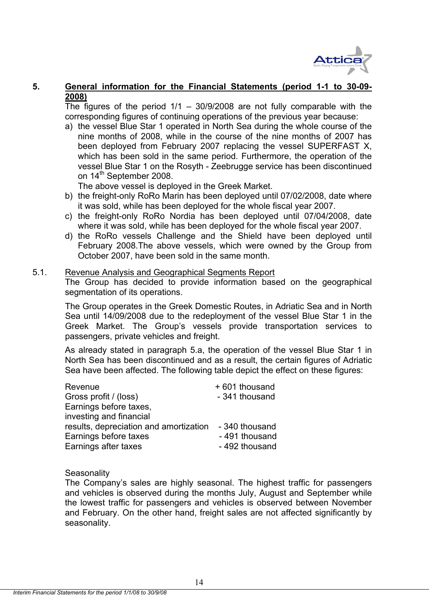

# **5. General information for the Financial Statements (period 1-1 to 30-09- 2008)**

The figures of the period  $1/1 - 30/9/2008$  are not fully comparable with the corresponding figures of continuing operations of the previous year because:

a) the vessel Blue Star 1 operated in North Sea during the whole course of the nine months of 2008, while in the course of the nine months of 2007 has been deployed from February 2007 replacing the vessel SUPERFAST X, which has been sold in the same period. Furthermore, the operation of the vessel Blue Star 1 on the Rosyth - Zeebrugge service has been discontinued on 14<sup>th</sup> September 2008.

The above vessel is deployed in the Greek Market.

- b) the freight-only RoRo Marin has been deployed until 07/02/2008, date where it was sold, while has been deployed for the whole fiscal year 2007.
- c) the freight-only RoRo Nordia has been deployed until 07/04/2008, date where it was sold, while has been deployed for the whole fiscal year 2007.
- d) the RoRo vessels Challenge and the Shield have been deployed until February 2008.The above vessels, which were owned by the Group from October 2007, have been sold in the same month.

## 5.1. Revenue Analysis and Geographical Segments Report

The Group has decided to provide information based on the geographical segmentation of its operations.

The Group operates in the Greek Domestic Routes, in Adriatic Sea and in North Sea until 14/09/2008 due to the redeployment of the vessel Blue Star 1 in the Greek Market. The Group's vessels provide transportation services to passengers, private vehicles and freight.

As already stated in paragraph 5.a, the operation of the vessel Blue Star 1 in North Sea has been discontinued and as a result, the certain figures of Adriatic Sea have been affected. The following table depict the effect on these figures:

| Revenue                                | +601 thousand  |
|----------------------------------------|----------------|
| Gross profit / (loss)                  | - 341 thousand |
| Earnings before taxes,                 |                |
| investing and financial                |                |
| results, depreciation and amortization | - 340 thousand |
| Earnings before taxes                  | - 491 thousand |
| Earnings after taxes                   | - 492 thousand |

**Seasonality** 

The Company's sales are highly seasonal. The highest traffic for passengers and vehicles is observed during the months July, August and September while the lowest traffic for passengers and vehicles is observed between November and February. On the other hand, freight sales are not affected significantly by seasonality.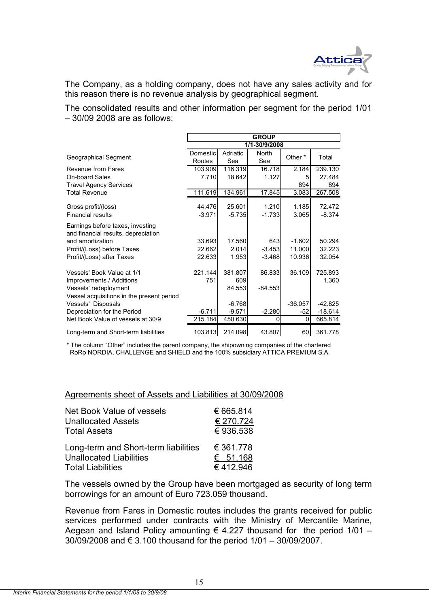

The Company, as a holding company, does not have any sales activity and for this reason there is no revenue analysis by geographical segment.

The consolidated results and other information per segment for the period 1/01 – 30/09 2008 are as follows:

|                                                                         |          |          | <b>GROUP</b>  |           |           |
|-------------------------------------------------------------------------|----------|----------|---------------|-----------|-----------|
|                                                                         |          |          | 1/1-30/9/2008 |           |           |
| Geographical Segment                                                    | Domestic | Adriatic | North         | Other *   | Total     |
|                                                                         | Routes   | Sea      | Sea           |           |           |
| Revenue from Fares                                                      | 103.909  | 116.319  | 16.718        | 2.184     | 239.130   |
| <b>On-board Sales</b>                                                   | 7.710    | 18.642   | 1.127         | 5         | 27.484    |
| <b>Travel Agency Services</b>                                           |          |          |               | 894       | 894       |
| <b>Total Revenue</b>                                                    | 111.619  | 134.961  | 17.845        | 3.083     | 267.508   |
|                                                                         | 44.476   | 25.601   |               |           | 72.472    |
| Gross profit/(loss)                                                     |          |          | 1.210         | 1.185     |           |
| <b>Financial results</b>                                                | $-3.971$ | $-5.735$ | $-1.733$      | 3.065     | $-8.374$  |
| Earnings before taxes, investing<br>and financial results, depreciation |          |          |               |           |           |
| and amortization                                                        | 33.693   | 17.560   | 643           | $-1.602$  | 50.294    |
| Profit/(Loss) before Taxes                                              | 22.662   | 2.014    | $-3.453$      | 11.000    | 32.223    |
| Profit/(Loss) after Taxes                                               | 22.633   | 1.953    | $-3.468$      | 10.936    | 32.054    |
| Vessels' Book Value at 1/1                                              | 221.144  | 381.807  | 86.833        | 36.109    | 725.893   |
| Improvements / Additions                                                | 751      | 609      |               |           | 1.360     |
| Vessels' redeployment                                                   |          | 84.553   | $-84.553$     |           |           |
| Vessel acquisitions in the present period                               |          |          |               |           |           |
| Vessels' Disposals                                                      |          | $-6.768$ |               | $-36.057$ | $-42.825$ |
| Depreciation for the Period                                             | $-6.711$ | $-9.571$ | $-2.280$      | $-52$     | $-18.614$ |
| Net Book Value of vessels at 30/9                                       | 215.184  | 450.630  | 0             | $\Omega$  | 665.814   |
| Long-term and Short-term liabilities                                    | 103.813  | 214.098  | 43.807        | 60        | 361.778   |

\* The column "Other" includes the parent company, the shipowning companies of the chartered RoRo NORDIA, CHALLENGE and SHIELD and the 100% subsidiary ATTICA PREMIUM S.A.

Agreements sheet of Assets and Liabilities at 30/09/2008

| Net Book Value of vessels            | € 665.814 |
|--------------------------------------|-----------|
| <b>Unallocated Assets</b>            | € 270.724 |
| <b>Total Assets</b>                  | €936.538  |
| Long-term and Short-term liabilities | € 361.778 |
| <b>Unallocated Liabilities</b>       | € 51.168  |
| <b>Total Liabilities</b>             | €412.946  |

The vessels owned by the Group have been mortgaged as security of long term borrowings for an amount of Euro 723.059 thousand.

Revenue from Fares in Domestic routes includes the grants received for public services performed under contracts with the Ministry of Mercantile Marine, Aegean and Island Policy amounting  $\epsilon$  4.227 thousand for the period 1/01 – 30/09/2008 and € 3.100 thousand for the period 1/01 – 30/09/2007.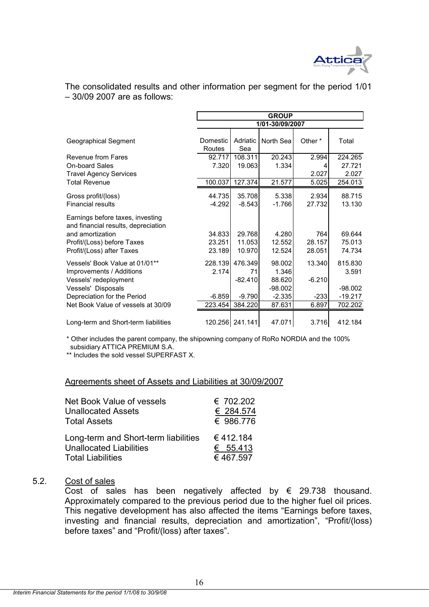

The consolidated results and other information per segment for the period 1/01 – 30/09 2007 are as follows:

|                                                                                                                                                                                |                                         |                                                   | <b>GROUP</b>                                                 |                                       |                                                       |
|--------------------------------------------------------------------------------------------------------------------------------------------------------------------------------|-----------------------------------------|---------------------------------------------------|--------------------------------------------------------------|---------------------------------------|-------------------------------------------------------|
|                                                                                                                                                                                |                                         |                                                   | 1/01-30/09/2007                                              |                                       |                                                       |
| Geographical Segment                                                                                                                                                           | Domestic I<br>Routes                    | Adriatic<br>Sea                                   | North Seal                                                   | Other *                               | Total                                                 |
| Revenue from Fares<br><b>On-board Sales</b><br><b>Travel Agency Services</b>                                                                                                   | 92.717<br>7.320                         | 108.311<br>19.063                                 | 20.243<br>1.334                                              | 2.994<br>4<br>2.027                   | 224.265<br>27.721<br>2.027                            |
| <b>Total Revenue</b>                                                                                                                                                           | 100.037                                 | 127.374                                           | 21.577                                                       | 5.025                                 | 254.013                                               |
| Gross profit/(loss)<br><b>Financial results</b>                                                                                                                                | 44.735<br>$-4.292$                      | 35.708<br>$-8.543$                                | 5.338<br>$-1.766$                                            | 2.934<br>27.732                       | 88.715<br>13.130                                      |
| Earnings before taxes, investing<br>and financial results, depreciation<br>and amortization<br>Profit/(Loss) before Taxes<br>Profit/(Loss) after Taxes                         | 34.833<br>23.251<br>23.189              | 29.768<br>11.053<br>10.970                        | 4.280<br>12.552<br>12.524                                    | 764<br>28.157<br>28.051               | 69.644<br>75.013<br>74.734                            |
| Vessels' Book Value at 01/01**<br>Improvements / Additions<br>Vessels' redeployment<br>Vessels' Disposals<br>Depreciation for the Period<br>Net Book Value of vessels at 30/09 | 228.139<br>2.174<br>$-6.859$<br>223.454 | 476.349<br>71<br>$-82.410$<br>$-9.790$<br>384.220 | 98.002<br>1.346<br>88.620<br>$-98.002$<br>$-2.335$<br>87.631 | 13.340<br>$-6.210$<br>$-233$<br>6.897 | 815.830<br>3.591<br>$-98.002$<br>$-19.217$<br>702.202 |
| Long-term and Short-term liabilities                                                                                                                                           |                                         | 120.256 241.141                                   | 47.071                                                       | 3.716                                 | 412.184                                               |

subsidiary ATTICA PREMIUM S.A. \* Other includes the parent company, the shipowning company of RoRo NORDIA and the 100%

\*\* Includes the sold vessel SUPERFAST X.

#### Agreements sheet of Assets and Liabilities at 30/09/2007

| <b>Net Book Value of vessels</b>     | € 702.202 |
|--------------------------------------|-----------|
| <b>Unallocated Assets</b>            | € 284.574 |
| Total Assets                         | € 986.776 |
| Long-term and Short-term liabilities | €412.184  |
| <b>Unallocated Liabilities</b>       | € 55.413  |
| <b>Total Liabilities</b>             | €467.597  |

# 5.2. Cost of sales

Cost of sales has been negatively affected by  $\epsilon$  29.738 thousand. Approximately compared to the previous period due to the higher fuel oil prices. This negative development has also affected the items "Earnings before taxes, investing and financial results, depreciation and amortization", "Profit/(loss) before taxes" and "Profit/(loss) after taxes".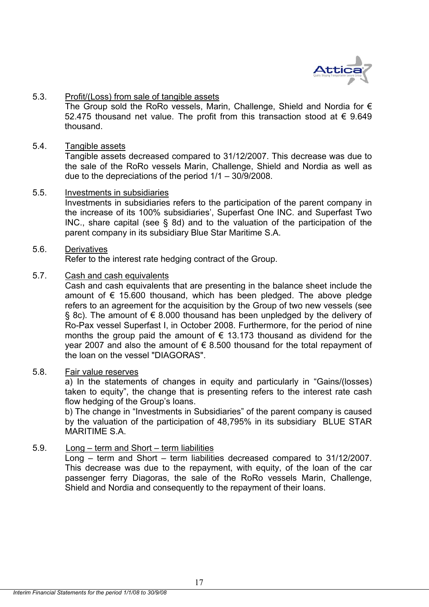

# 5.3. Profit/(Loss) from sale of tangible assets

The Group sold the RoRo vessels, Marin, Challenge, Shield and Nordia for  $\epsilon$ 52.475 thousand net value. The profit from this transaction stood at € 9.649 thousand.

#### 5.4. Tangible assets

Tangible assets decreased compared to 31/12/2007. This decrease was due to the sale of the RoRo vessels Marin, Challenge, Shield and Nordia as well as due to the depreciations of the period 1/1 – 30/9/2008.

#### 5.5. Investments in subsidiaries

Investments in subsidiaries refers to the participation of the parent company in the increase of its 100% subsidiaries', Superfast One INC. and Superfast Two INC., share capital (see § 8d) and to the valuation of the participation of the parent company in its subsidiary Blue Star Maritime S.A.

#### 5.6. Derivatives

Refer to the interest rate hedging contract of the Group.

## 5.7. Cash and cash equivalents

 Cash and cash equivalents that are presenting in the balance sheet include the amount of  $\epsilon$  15.600 thousand, which has been pledged. The above pledge refers to an agreement for the acquisition by the Group of two new vessels (see § 8c). The amount of € 8.000 thousand has been unpledged by the delivery of Ro-Pax vessel Superfast I, in October 2008. Furthermore, for the period of nine months the group paid the amount of  $\epsilon$  13.173 thousand as dividend for the year 2007 and also the amount of  $\epsilon$  8.500 thousand for the total repayment of the loan on the vessel "DIAGORAS".

# 5.8. Fair value reserves

a) In the statements of changes in equity and particularly in "Gains/(losses) taken to equity", the change that is presenting refers to the interest rate cash flow hedging of the Group's loans.

b) The change in "Investments in Subsidiaries" of the parent company is caused by the valuation of the participation of 48,795% in its subsidiary BLUE STAR MARITIME S.A.

# 5.9. Long – term and Short – term liabilities

Long – term and Short – term liabilities decreased compared to 31/12/2007. This decrease was due to the repayment, with equity, of the loan of the car passenger ferry Diagoras, the sale of the RoRo vessels Marin, Challenge, Shield and Nordia and consequently to the repayment of their loans.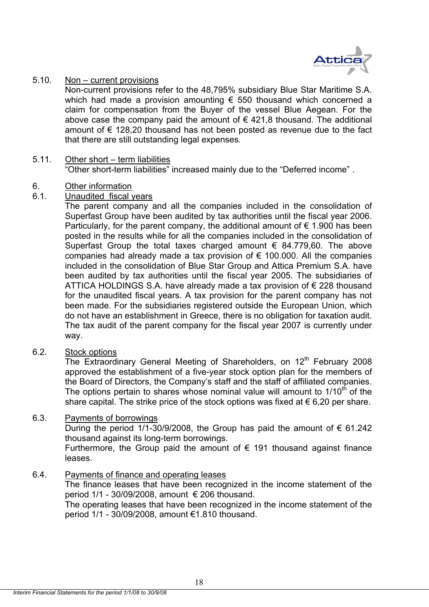

## 5.10. Non – current provisions

Non-current provisions refer to the 48,795% subsidiary Blue Star Maritime S.A. which had made a provision amounting € 550 thousand which concerned a claim for compensation from the Buyer of the vessel Blue Aegean. For the above case the company paid the amount of  $\epsilon$  421,8 thousand. The additional amount of € 128,20 thousand has not been posted as revenue due to the fact that there are still outstanding legal expenses.

#### 5.11. Other short – term liabilities "Other short-term liabilities" increased mainly due to the "Deferred income" .

# 6. Other information

# 6.1. Unaudited fiscal years

The parent company and all the companies included in the consolidation of Superfast Group have been audited by tax authorities until the fiscal year 2006. Particularly, for the parent company, the additional amount of  $\epsilon$  1.900 has been posted in the results while for all the companies included in the consolidation of Superfast Group the total taxes charged amount  $\epsilon$  84.779,60. The above companies had already made a tax provision of  $\epsilon$  100.000. All the companies included in the consolidation of Blue Star Group and Attica Premium S.A. have been audited by tax authorities until the fiscal year 2005. The subsidiaries of ATTICA HOLDINGS S.A. have already made a tax provision of  $\epsilon$  228 thousand for the unaudited fiscal years. A tax provision for the parent company has not been made. For the subsidiaries registered outside the European Union, which do not have an establishment in Greece, there is no obligation for taxation audit. The tax audit of the parent company for the fiscal year 2007 is currently under way.

# 6.2. Stock options

The Extraordinary General Meeting of Shareholders, on  $12<sup>th</sup>$  February 2008 approved the establishment of a five-year stock option plan for the members of the Board of Directors, the Company's staff and the staff of affiliated companies. The options pertain to shares whose nominal value will amount to  $1/10<sup>th</sup>$  of the share capital. The strike price of the stock options was fixed at  $\epsilon$  6,20 per share.

# 6.3. Payments of borrowings

During the period 1/1-30/9/2008, the Group has paid the amount of € 61.242 thousand against its long-term borrowings.

Furthermore, the Group paid the amount of  $\epsilon$  191 thousand against finance leases.

# 6.4. Payments of finance and operating leases

The finance leases that have been recognized in the income statement of the period  $1/1$  - 30/09/2008, amount  $\epsilon$  206 thousand.

The operating leases that have been recognized in the income statement of the period 1/1 - 30/09/2008, amount €1.810 thousand.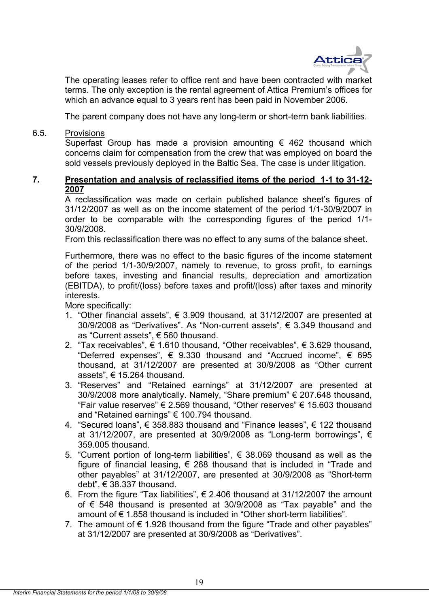

The operating leases refer to office rent and have been contracted with market terms. The only exception is the rental agreement of Attica Premium's offices for which an advance equal to 3 years rent has been paid in November 2006.

The parent company does not have any long-term or short-term bank liabilities.

6.5. Provisions

Superfast Group has made a provision amounting  $\epsilon$  462 thousand which concerns claim for compensation from the crew that was employed on board the sold vessels previously deployed in the Baltic Sea. The case is under litigation.

# **7. Presentation and analysis of reclassified items of the period 1-1 to 31-12- 2007**

A reclassification was made on certain published balance sheet's figures of 31/12/2007 as well as on the income statement of the period 1/1-30/9/2007 in order to be comparable with the corresponding figures of the period 1/1- 30/9/2008.

From this reclassification there was no effect to any sums of the balance sheet.

Furthermore, there was no effect to the basic figures of the income statement of the period 1/1-30/9/2007, namely to revenue, to gross profit, to earnings before taxes, investing and financial results, depreciation and amortization (EBITDA), to profit/(loss) before taxes and profit/(loss) after taxes and minority interests.

More specifically:

- 1. "Other financial assets",  $\epsilon$  3.909 thousand, at 31/12/2007 are presented at 30/9/2008 as "Derivatives". As "Non-current assets", € 3.349 thousand and as "Current assets", € 560 thousand.
- 2. "Tax receivables", € 1.610 thousand, "Other receivables", € 3.629 thousand, "Deferred expenses",  $\epsilon$  9.330 thousand and "Accrued income",  $\epsilon$  695 thousand, at 31/12/2007 are presented at 30/9/2008 as "Other current assets", € 15.264 thousand.
- 3. "Reserves" and "Retained earnings" at 31/12/2007 are presented at 30/9/2008 more analytically. Namely, "Share premium" € 207.648 thousand, "Fair value reserves"  $\epsilon$  2.569 thousand, "Other reserves"  $\epsilon$  15.603 thousand and "Retained earnings" € 100.794 thousand.
- 4. "Secured loans", € 358.883 thousand and "Finance leases", € 122 thousand at 31/12/2007, are presented at 30/9/2008 as "Long-term borrowings",  $\epsilon$ 359.005 thousand.
- 5. "Current portion of long-term liabilities",  $€$  38.069 thousand as well as the figure of financial leasing,  $\epsilon$  268 thousand that is included in "Trade and other payables" at 31/12/2007, are presented at 30/9/2008 as "Short-term debt", € 38.337 thousand.
- 6. From the figure "Tax liabilities",  $\epsilon$  2.406 thousand at 31/12/2007 the amount of € 548 thousand is presented at 30/9/2008 as "Tax payable" and the amount of  $\epsilon$  1.858 thousand is included in "Other short-term liabilities".
- 7. The amount of  $\epsilon$  1.928 thousand from the figure "Trade and other payables" at 31/12/2007 are presented at 30/9/2008 as "Derivatives".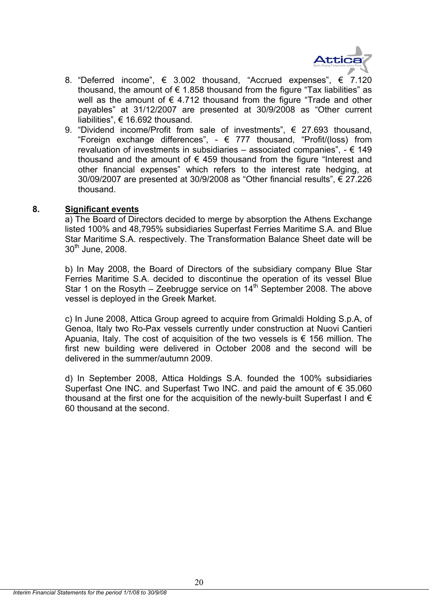

- 8. "Deferred income",  $\epsilon$  3.002 thousand, "Accrued expenses",  $\epsilon$  7.120 thousand, the amount of  $\epsilon$  1.858 thousand from the figure "Tax liabilities" as well as the amount of  $\epsilon$  4.712 thousand from the figure "Trade and other payables" at 31/12/2007 are presented at 30/9/2008 as "Other current liabilities", € 16.692 thousand.
- 9. "Dividend income/Profit from sale of investments", € 27.693 thousand, "Foreign exchange differences",  $\epsilon$  777 thousand, "Profit/(loss) from revaluation of investments in subsidiaries – associated companies",  $- \epsilon$  149 thousand and the amount of  $\epsilon$  459 thousand from the figure "Interest and other financial expenses" which refers to the interest rate hedging, at 30/09/2007 are presented at 30/9/2008 as "Other financial results", € 27.226 thousand.

## **8. Significant events**

a) The Board of Directors decided to merge by absorption the Athens Exchange listed 100% and 48,795% subsidiaries Superfast Ferries Maritime S.A. and Blue Star Maritime S.A. respectively. The Transformation Balance Sheet date will be  $30<sup>th</sup>$  June, 2008.

b) In May 2008, the Board of Directors of the subsidiary company Blue Star Ferries Maritime S.A. decided to discontinue the operation of its vessel Blue Star 1 on the Rosyth – Zeebrugge service on  $14<sup>th</sup>$  September 2008. The above vessel is deployed in the Greek Market.

c) In June 2008, Attica Group agreed to acquire from Grimaldi Holding S.p.A, of Genoa, Italy two Ro-Pax vessels currently under construction at Nuovi Cantieri Apuania, Italy. The cost of acquisition of the two vessels is  $\epsilon$  156 million. The first new building were delivered in October 2008 and the second will be delivered in the summer/autumn 2009.

d) In September 2008, Attica Holdings S.A. founded the 100% subsidiaries Superfast One INC. and Superfast Two INC. and paid the amount of € 35.060 thousand at the first one for the acquisition of the newly-built Superfast I and  $\epsilon$ 60 thousand at the second.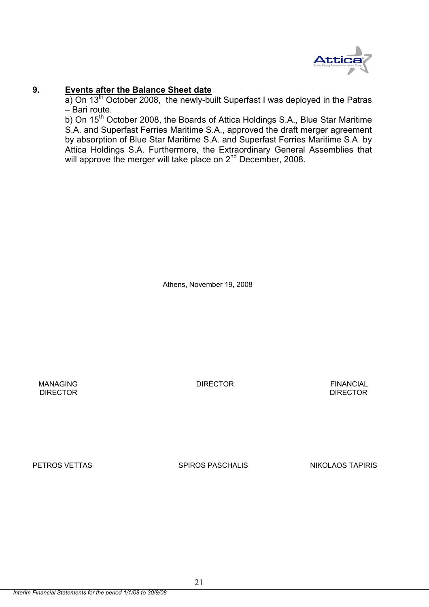

## **9. Events after the Balance Sheet date**

a) On  $13<sup>th</sup>$  October 2008, the newly-built Superfast I was deployed in the Patras – Bari route.

b) On 15<sup>th</sup> October 2008, the Boards of Attica Holdings S.A., Blue Star Maritime S.A. and Superfast Ferries Maritime S.A., approved the draft merger agreement by absorption of Blue Star Maritime S.A. and Superfast Ferries Maritime S.A. by Attica Holdings S.A. Furthermore, the Extraordinary General Assemblies that will approve the merger will take place on 2<sup>nd</sup> December, 2008.

Athens, November 19, 2008

 MANAGING DIRECTOR FINANCIAL **DIRECTOR** DIRECTOR **DIRECTOR** 

PETROS VETTAS SPIROS PASCHALIS NIKOLAOS TAPIRIS